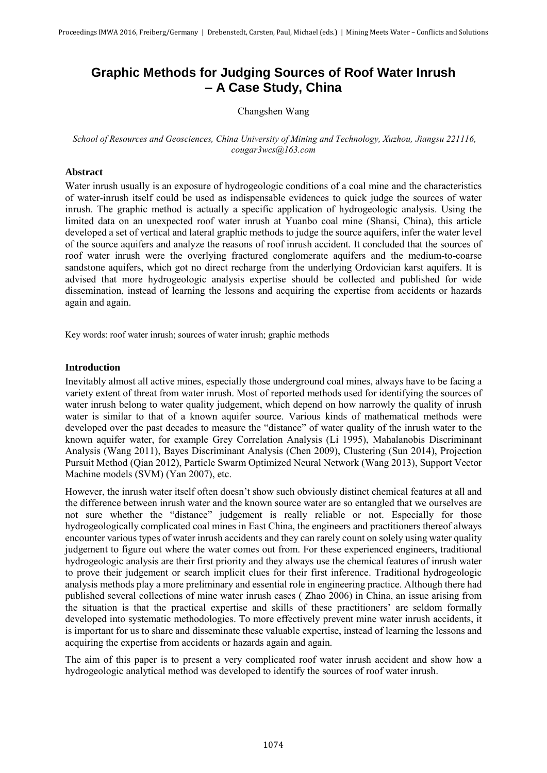# **Graphic Methods for Judging Sources of Roof Water Inrush – A Case Study, China**

## Changshen Wang

### *School of Resources and Geosciences, China University of Mining and Technology, Xuzhou, Jiangsu 221116, cougar3wcs@163.com*

## **Abstract**

Water inrush usually is an exposure of hydrogeologic conditions of a coal mine and the characteristics of water-inrush itself could be used as indispensable evidences to quick judge the sources of water inrush. The graphic method is actually a specific application of hydrogeologic analysis. Using the limited data on an unexpected roof water inrush at Yuanbo coal mine (Shansi, China), this article developed a set of vertical and lateral graphic methods to judge the source aquifers, infer the water level of the source aquifers and analyze the reasons of roof inrush accident. It concluded that the sources of roof water inrush were the overlying fractured conglomerate aquifers and the medium-to-coarse sandstone aquifers, which got no direct recharge from the underlying Ordovician karst aquifers. It is advised that more hydrogeologic analysis expertise should be collected and published for wide dissemination, instead of learning the lessons and acquiring the expertise from accidents or hazards again and again.

Key words: roof water inrush; sources of water inrush; graphic methods

#### **Introduction**

Inevitably almost all active mines, especially those underground coal mines, always have to be facing a variety extent of threat from water inrush. Most of reported methods used for identifying the sources of water inrush belong to water quality judgement, which depend on how narrowly the quality of inrush water is similar to that of a known aquifer source. Various kinds of mathematical methods were developed over the past decades to measure the "distance" of water quality of the inrush water to the known aquifer water, for example Grey Correlation Analysis (Li 1995), Mahalanobis Discriminant Analysis (Wang 2011), Bayes Discriminant Analysis (Chen 2009), Clustering (Sun 2014), Projection Pursuit Method (Qian 2012), Particle Swarm Optimized Neural Network (Wang 2013), Support Vector Machine models (SVM) (Yan 2007), etc.

However, the inrush water itself often doesn't show such obviously distinct chemical features at all and the difference between inrush water and the known source water are so entangled that we ourselves are not sure whether the "distance" judgement is really reliable or not. Especially for those hydrogeologically complicated coal mines in East China, the engineers and practitioners thereof always encounter various types of water inrush accidents and they can rarely count on solely using water quality judgement to figure out where the water comes out from. For these experienced engineers, traditional hydrogeologic analysis are their first priority and they always use the chemical features of inrush water to prove their judgement or search implicit clues for their first inference. Traditional hydrogeologic analysis methods play a more preliminary and essential role in engineering practice. Although there had published several collections of mine water inrush cases ( Zhao 2006) in China, an issue arising from the situation is that the practical expertise and skills of these practitioners' are seldom formally developed into systematic methodologies. To more effectively prevent mine water inrush accidents, it is important for us to share and disseminate these valuable expertise, instead of learning the lessons and acquiring the expertise from accidents or hazards again and again.

The aim of this paper is to present a very complicated roof water inrush accident and show how a hydrogeologic analytical method was developed to identify the sources of roof water inrush.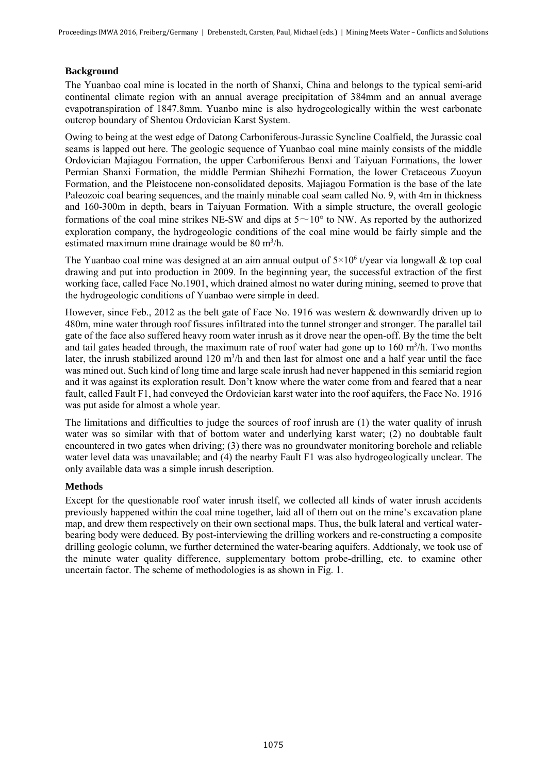# **Background**

The Yuanbao coal mine is located in the north of Shanxi, China and belongs to the typical semi-arid continental climate region with an annual average precipitation of 384mm and an annual average evapotranspiration of 1847.8mm. Yuanbo mine is also hydrogeologically within the west carbonate outcrop boundary of Shentou Ordovician Karst System.

Owing to being at the west edge of Datong Carboniferous-Jurassic Syncline Coalfield, the Jurassic coal seams is lapped out here. The geologic sequence of Yuanbao coal mine mainly consists of the middle Ordovician Majiagou Formation, the upper Carboniferous Benxi and Taiyuan Formations, the lower Permian Shanxi Formation, the middle Permian Shihezhi Formation, the lower Cretaceous Zuoyun Formation, and the Pleistocene non-consolidated deposits. Majiagou Formation is the base of the late Paleozoic coal bearing sequences, and the mainly minable coal seam called No. 9, with 4m in thickness and 160-300m in depth, bears in Taiyuan Formation. With a simple structure, the overall geologic formations of the coal mine strikes NE-SW and dips at  $5 \sim 10^{\circ}$  to NW. As reported by the authorized exploration company, the hydrogeologic conditions of the coal mine would be fairly simple and the estimated maximum mine drainage would be 80 m<sup>3</sup>/h.

The Yuanbao coal mine was designed at an aim annual output of  $5\times10^6$  t/year via longwall & top coal drawing and put into production in 2009. In the beginning year, the successful extraction of the first working face, called Face No.1901, which drained almost no water during mining, seemed to prove that the hydrogeologic conditions of Yuanbao were simple in deed.

However, since Feb., 2012 as the belt gate of Face No. 1916 was western & downwardly driven up to 480m, mine water through roof fissures infiltrated into the tunnel stronger and stronger. The parallel tail gate of the face also suffered heavy room water inrush as it drove near the open-off. By the time the belt and tail gates headed through, the maximum rate of roof water had gone up to 160 m<sup>3</sup>/h. Two months later, the inrush stabilized around  $120 \text{ m}^3/h$  and then last for almost one and a half year until the face was mined out. Such kind of long time and large scale inrush had never happened in this semiarid region and it was against its exploration result. Don't know where the water come from and feared that a near fault, called Fault F1, had conveyed the Ordovician karst water into the roof aquifers, the Face No. 1916 was put aside for almost a whole year.

The limitations and difficulties to judge the sources of roof inrush are (1) the water quality of inrush water was so similar with that of bottom water and underlying karst water; (2) no doubtable fault encountered in two gates when driving; (3) there was no groundwater monitoring borehole and reliable water level data was unavailable; and (4) the nearby Fault F1 was also hydrogeologically unclear. The only available data was a simple inrush description.

# **Methods**

Except for the questionable roof water inrush itself, we collected all kinds of water inrush accidents previously happened within the coal mine together, laid all of them out on the mine's excavation plane map, and drew them respectively on their own sectional maps. Thus, the bulk lateral and vertical waterbearing body were deduced. By post-interviewing the drilling workers and re-constructing a composite drilling geologic column, we further determined the water-bearing aquifers. Addtionaly, we took use of the minute water quality difference, supplementary bottom probe-drilling, etc. to examine other uncertain factor. The scheme of methodologies is as shown in Fig. 1.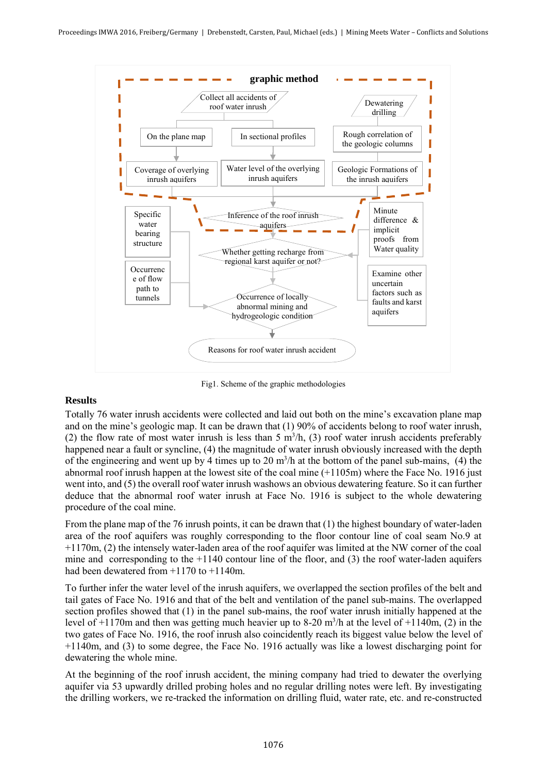

Fig1. Scheme of the graphic methodologies

# **Results**

Totally 76 water inrush accidents were collected and laid out both on the mine's excavation plane map and on the mine's geologic map. It can be drawn that (1) 90% of accidents belong to roof water inrush, (2) the flow rate of most water inrush is less than 5  $m<sup>3</sup>/h$ , (3) roof water inrush accidents preferably happened near a fault or syncline, (4) the magnitude of water inrush obviously increased with the depth of the engineering and went up by 4 times up to 20  $m^3/h$  at the bottom of the panel sub-mains, (4) the abnormal roof inrush happen at the lowest site of the coal mine (+1105m) where the Face No. 1916 just went into, and (5) the overall roof water inrush washows an obvious dewatering feature. So it can further deduce that the abnormal roof water inrush at Face No. 1916 is subject to the whole dewatering procedure of the coal mine.

From the plane map of the 76 inrush points, it can be drawn that (1) the highest boundary of water-laden area of the roof aquifers was roughly corresponding to the floor contour line of coal seam No.9 at +1170m, (2) the intensely water-laden area of the roof aquifer was limited at the NW corner of the coal mine and corresponding to the  $+1140$  contour line of the floor, and (3) the roof water-laden aquifers had been dewatered from  $+1170$  to  $+1140$ m.

To further infer the water level of the inrush aquifers, we overlapped the section profiles of the belt and tail gates of Face No. 1916 and that of the belt and ventilation of the panel sub-mains. The overlapped section profiles showed that (1) in the panel sub-mains, the roof water inrush initially happened at the level of +1170m and then was getting much heavier up to 8-20 m<sup>3</sup> /h at the level of +1140m, (2) in the two gates of Face No. 1916, the roof inrush also coincidently reach its biggest value below the level of +1140m, and (3) to some degree, the Face No. 1916 actually was like a lowest discharging point for dewatering the whole mine.

At the beginning of the roof inrush accident, the mining company had tried to dewater the overlying aquifer via 53 upwardly drilled probing holes and no regular drilling notes were left. By investigating the drilling workers, we re-tracked the information on drilling fluid, water rate, etc. and re-constructed